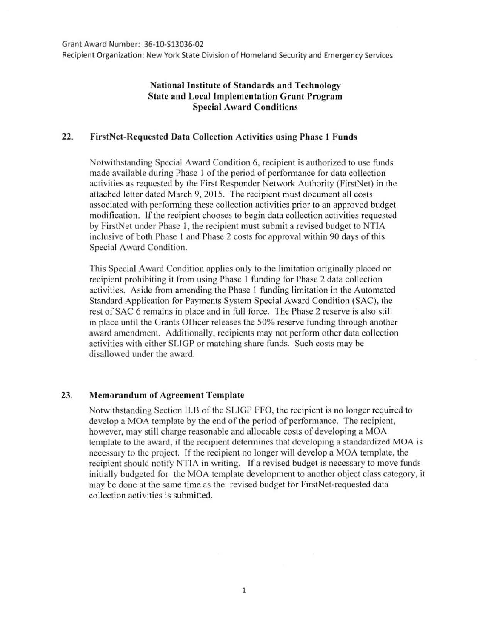Recipient Organization: New York State Division of Homeland Security and Emergency Services

## National Institute of Standards and Technology State and Local Implementation Grant Program **Special Award Conditions**

## 22. FirstNet-Requested Data Collection Activities using Phase 1 Funds

Notwithstanding Special Award Condition 6, recipient is authorized to use funds made available during Phase I of the period of performance for data collection activities as requested by the First Responder Network Authority (FirstNet) in the attached letter dated March 9, 2015. The recipient must document all costs associated with performing these collection activities prior to an approved budget modification. If the recipient chooses to begin data collection activities requested by FirstNet under Phase l, the recipient must submit a revised budget to NTIA inclusive of both Phase I and Phase 2 costs for approval within 90 days of this Special Award Condition.

This Special Award Condition applies only to the limitation originally placed on recipient prohibiting it from using Phase I funding for Phase 2 data collection activities. Aside from amending the Phase 1 funding limitation in the Automated Standard Application for Payments System Special Award Condition (SAC), the rest of SAC 6 remains in place and in full force. The Phase 2 reserve is also still in place until the Grants Officer releases the 50% reserve funding through another award amendment. Additionally, recipients may not perform other data collection activities with either SLIGP or matching share funds. Such costs may be disallowed under the award.

## 23. Memorandum of Agreement Template

Notwithstanding Section II.B of the SLIGP FFO, the recipient is no longer required to develop a MOA template by the end of the period of performance. The recipient, however, may still charge reasonable and allocable costs of developing a MOA template to the award, if the recipient determines that developing a standardized MOA is necessary to the project. If the recipient no longer will develop a MOA template, the recipient should notify NTlA in writing. If a revised budget is necessary to move funds initially budgeted for the MOA template development to another object class category, it may be done at the same time as the revised budget for FirstNet-rcquested data collection activities is submitted.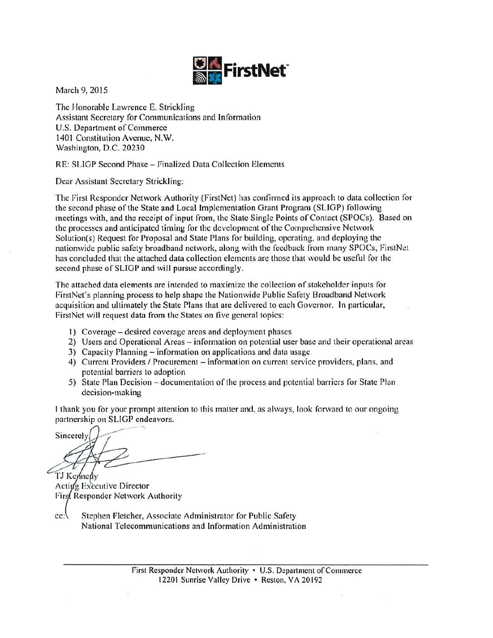

March 9, 2015

The Honorable Lawrence E. Strickling Assistant Secretary for Communications and Information U.S. Department of Commerce 1401 Constitution Avenue, N.W. Washington, D.C. 20230

RE: SLIGP Second Phase - Finalized Data Collection Elements

Dear Assistant Secretary Strickling:

The rirst Responder Network Authority (FirstNet) has confirmed its approach to data collection for the second phase of the State and Local Implementation Grant Program (SLIGP) following meetings with, and the receipt of input from, the State Single Points of Contact (SPOCs). Based on the processes and anticipated timing for the development of the Comprehensive Network Solution(s) Request for Proposal and State Plans for building, operating, and deploying the nationwide public safety broadband network, along with the feedback from many SPOCs, FirstNcl has concluded that the attached data collection elements are those that would be useful for the second phase of SLIGP and will pursue accordingly.

The attached data clements arc intended to maximize the collection of stakeholder inputs for FirstNct's planning process to help shape the Nationwide Public Safety Broadband Network acquisition and ultimately the State Plans that are delivered to each Governor. In particular, FirstNet will request data from the States on five general topics:

- I) Coverage- desired coverage areas and deployment phases
- 2) Users and Operational Areas information on potential user base and their operational areas
- 3) Capacity Planning- information on applications and data usage
- 4) Current Providers / Procurement information on current service providers, plans, and potential barriers to adoption
- 5) State Plan Decision documentation of the process and potential barriers for State Plan decision-making

I thank you for your prompt attention to this matter and, as always, look forward to our ongoing partnership on SLIGP endeavors.

Sincerely

TJ Kennedy Acting Executive Director Firs Responder Network Authority

 $cc$ :

Stephen Fletcher, Associate Administrator for Public Safety National Telecommunications and Information Administration